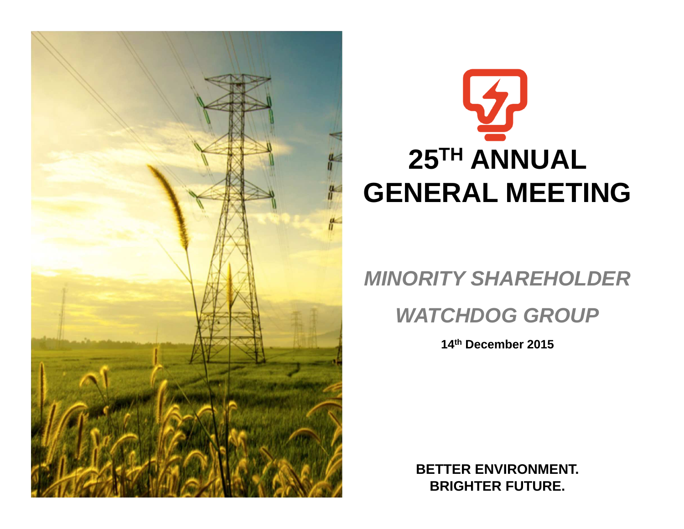

# **25TH ANNUAL GENERAL MEETING**

# **MINORITY SHAREHOLDER**

# **WATCHDOG GROUP**

**14th December 2015**

**BETTER ENVIRONMENT.BRIGHTER FUTURE.**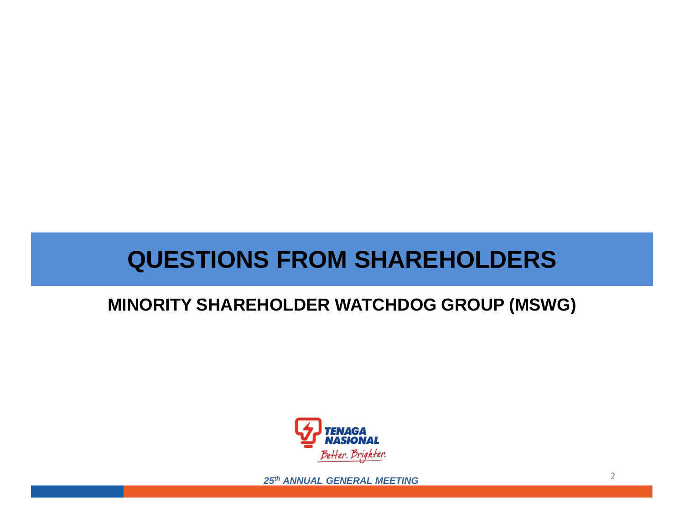# **QUESTIONS FROM SHAREHOLDERS**

# **MINORITY SHAREHOLDER WATCHDOG GROUP (MSWG)**

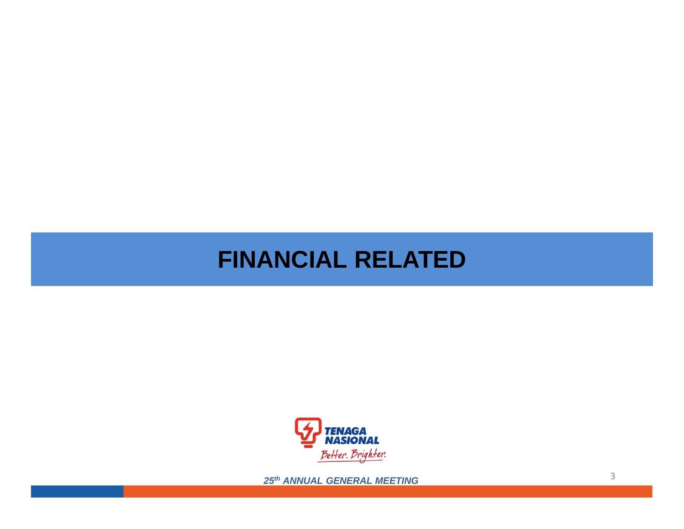# **FINANCIAL RELATED**

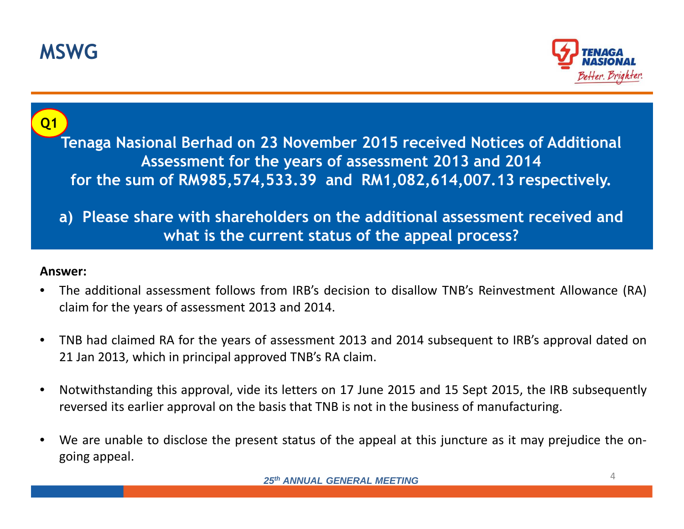



**Tenaga Nasional Berhad on 23 November 2015 received Notices of Additional Assessment for the years of assessment 2013 and 2014 for the sum of RM985,574,533.39 and RM1,082,614,007.13 respectively. Q1**

**a) Please share with shareholders on the additional assessment received and what is the current status of the appeal process?**

- • The additional assessment follows from IRB's decision to disallow TNB's Reinvestment Allowance (RA) claim for the years of assessment <sup>2013</sup> and 2014.
- $\bullet$  TNB had claimed RA for the years of assessment <sup>2013</sup> and <sup>2014</sup> subsequent to IRB's approval dated on<sup>21</sup> Jan 2013, which in principal approved TNB's RA claim.
- $\bullet$  Notwithstanding this approval, vide its letters on <sup>17</sup> June <sup>2015</sup> and <sup>15</sup> Sept 2015, the IRB subsequently reversed its earlier approval on the basis that TNB is not in the business of manufacturing.
- $\bullet$  We are unable to disclose the present status of the appeal at this juncture as it may prejudice the ongoing appeal.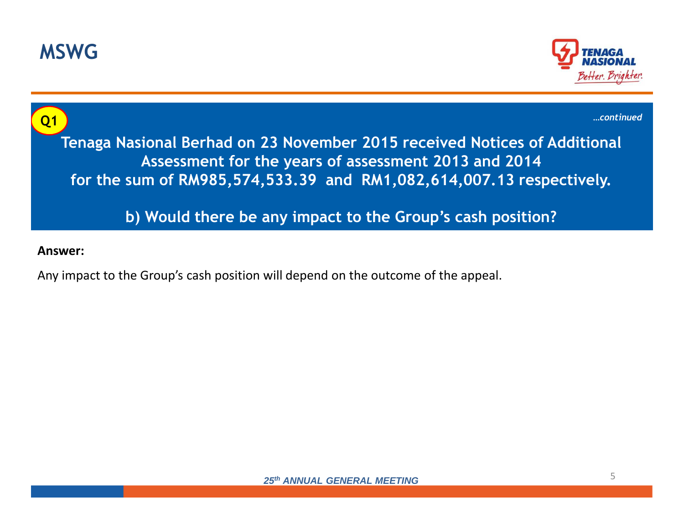



**Tenaga Nasional Berhad on 23 November 2015 received Notices of Additional Assessment for the years of assessment 2013 and 2014 for the sum of RM985,574,533.39 and RM1,082,614,007.13 respectively.b) Would there be any impact to the Group's cash position?Q1***…continued*

#### **Answer:**

Any impact to the Group's cash position will depend on the outcome of the appeal.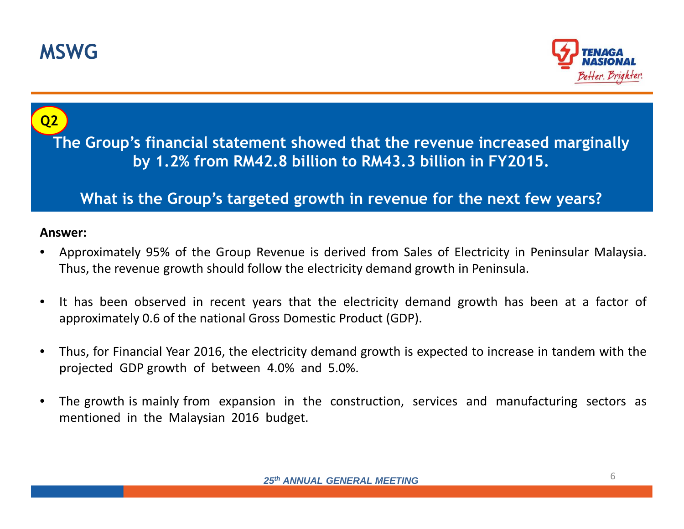



**The Group's financial statement showed that the revenue increased marginally by 1.2% from RM42.8 billion to RM43.3 billion in FY2015.** 

**What is the Group's targeted growth in revenue for the next few years?**

- • Approximately 95% of the Group Revenue is derived from Sales of Electricity in Peninsular Malaysia. Thus, the revenue growth should follow the electricity demand growth in Peninsula.
- $\bullet$  It has been observed in recent years that the electricity demand growth has been at <sup>a</sup> factor of approximately 0.6 of the national Gross Domestic Product (GDP).
- $\bullet$  Thus, for Financial Year 2016, the electricity demand growth is expected to increase in tandem with the projected GDP growth of between 4.0% and 5.0%.
- $\bullet$  The growth is mainly from expansion in the construction, services and manufacturing sectors as mentioned in the Malaysian <sup>2016</sup> budget.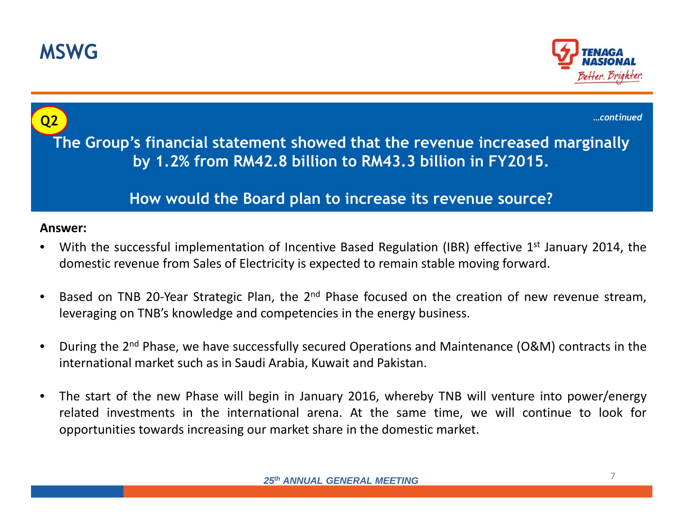



**The Group's financial statement showed that the revenue increased marginally by 1.2% from RM42.8 billion to RM43.3 billion in FY2015. How would the Board plan to increase its revenue source?Q2Answer:***…continued*

- •With the successful implementation of Incentive Based Regulation (IBR) effective  $1<sup>st</sup>$  January 2014, the domestic revenue from Sales of Electricity is expected to remain stable moving forward.
- $\bullet$ Based on TNB 20-Year Strategic Plan, the 2<sup>nd</sup> Phase focused on the creation of new revenue stream, leveraging on TNB's knowledge and competencies in the energy business.
- $\bullet$ During the 2<sup>nd</sup> Phase, we have successfully secured Operations and Maintenance (O&M) contracts in the international market such as in Saudi Arabia, Kuwait and Pakistan.
- $\bullet$  The start of the new Phase will begin in January 2016, whereby TNB will venture into power/energy related investments in the international arena. At the same time, we will continue to look for opportunities towards increasing our market share in the domestic market.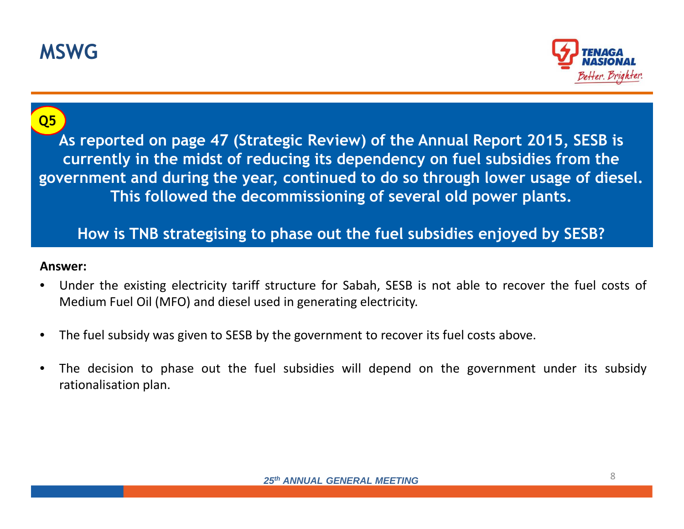



**As reported on page 47 (Strategic Review) of the Annual Report 2015, SESB is currently in the midst of reducing its dependency on fuel subsidies from the government and during the year, continued to do so through lower usage of diesel. This followed the decommissioning of several old power plants.** 

### **How is TNB strategising to phase out the fuel subsidies enjoyed by SESB?**

- • Under the existing electricity tariff structure for Sabah, SESB is not able to recover the fuel costs of Medium Fuel Oil (MFO) and diesel used in generating electricity.
- $\bullet$ The fuel subsidy was given to SESB by the government to recover its fuel costs above.
- • The decision to phase out the fuel subsidies will depend on the government under its subsidy rationalisation plan.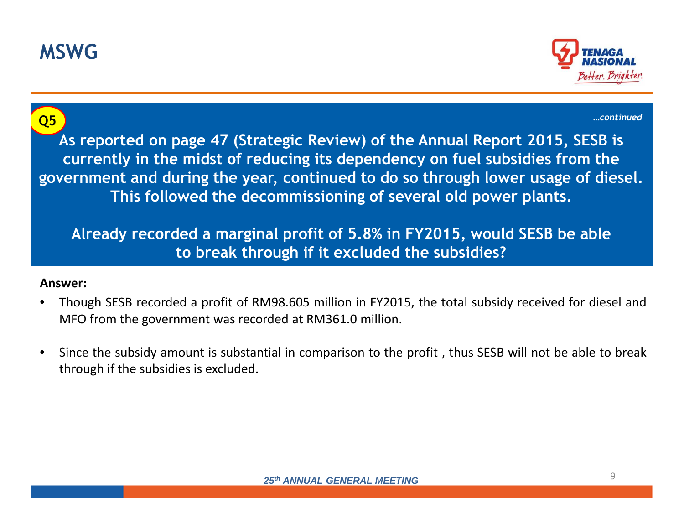



**As reported on page 47 (Strategic Review) of the Annual Report 2015, SESB is currently in the midst of reducing its dependency on fuel subsidies from the government and during the year, continued to do so through lower usage of diesel. This followed the decommissioning of several old power plants. Already recorded a marginal profit of 5.8% in FY2015, would SESB be able Q5***…continued*

# **Answer:**

• Though SESB recorded <sup>a</sup> profit of RM98.605 million in FY2015, the total subsidy received for diesel andMFO from the government was recorded at RM361.0 million.

**to break through if it excluded the subsidies?**

 $\bullet$  Since the subsidy amount is substantial in comparison to the profit , thus SESB will not be able to break through if the subsidies is excluded.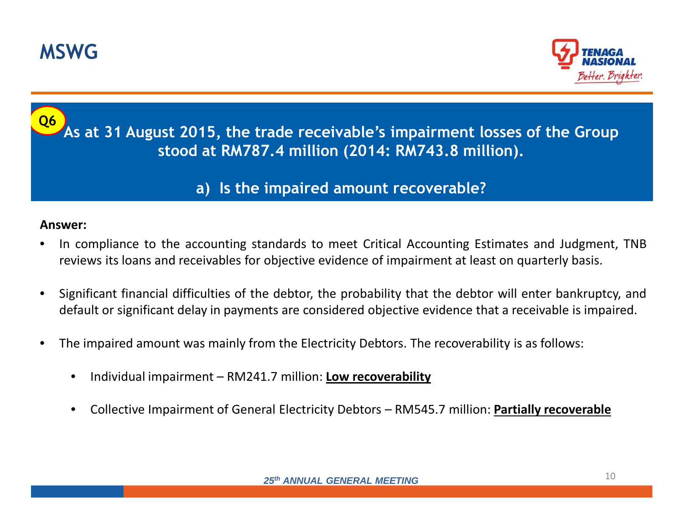



#### **As at 31 August 2015, the trade receivable's impairment losses of the Group stood at RM787.4 million (2014: RM743.8 million). Q6**

## **a) Is the impaired amount recoverable?**

- • In compliance to the accounting standards to meet Critical Accounting Estimates and Judgment, TNBreviews its loans and receivables for objective evidence of impairment at least on quarterly basis.
- • Significant financial difficulties of the debtor, the probability that the debtor will enter bankruptcy, anddefault or significant delay in payments are considered objective evidence that <sup>a</sup> receivable is impaired.
- • The impaired amount was mainly from the Electricity Debtors. The recoverability is as follows:
	- •Individual impairment – RM241.7 million: **Low recoverability**
	- •Collective Impairment of General Electricity Debtors – RM545.7 million: **Partially recoverable**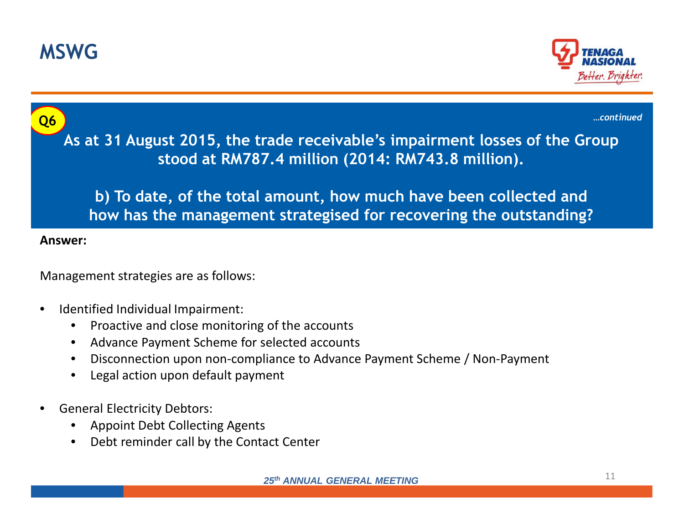





- •Advance Payment Scheme for selected accounts
- $\bullet$ Disconnection upon non-compliance to Advance Payment Scheme / Non-Payment
- •Legal action upon default payment
- • General Electricity Debtors:
	- •Appoint Debt Collecting Agents
	- $\bullet$ Debt reminder call by the Contact Center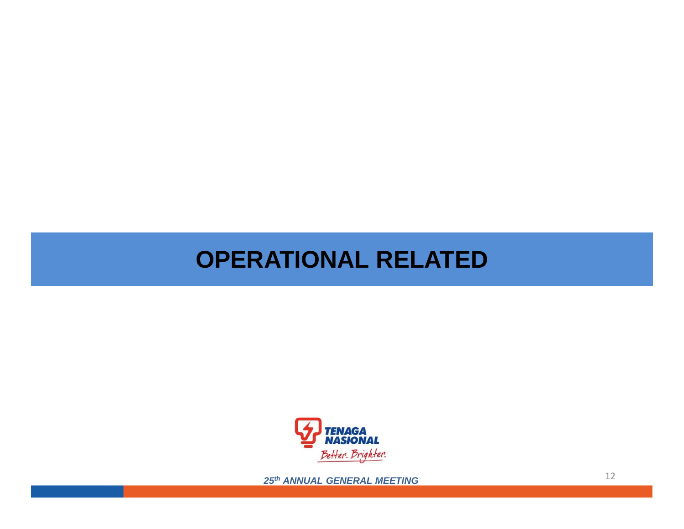# **OPERATIONAL RELATED**

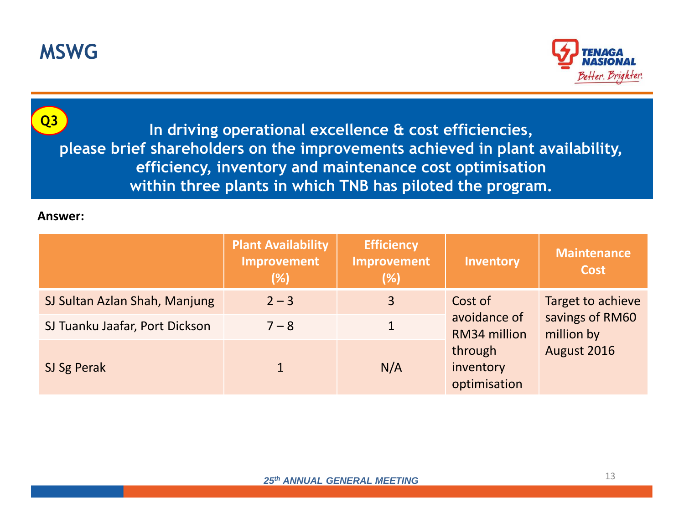



**In driving operational excellence & cost efficiencies, please brief shareholders on the improvements achieved in plant availability, efficiency, inventory and maintenance cost optimisation within three plants in which TNB has piloted the program. Q3**

|                                | <b>Plant Availability</b><br>Improvement<br>(%) | <b>Efficiency</b><br><b>Improvement</b><br>(% ) | Inventory                                                                       | <b>Maintenance</b><br><b>Cost</b>                                 |
|--------------------------------|-------------------------------------------------|-------------------------------------------------|---------------------------------------------------------------------------------|-------------------------------------------------------------------|
| SJ Sultan Azlan Shah, Manjung  | $2 - 3$                                         | 3                                               | Cost of<br>avoidance of<br>RM34 million<br>through<br>inventory<br>optimisation | Target to achieve<br>savings of RM60<br>million by<br>August 2016 |
| SJ Tuanku Jaafar, Port Dickson | $7 - 8$                                         |                                                 |                                                                                 |                                                                   |
| SJ Sg Perak                    |                                                 | N/A                                             |                                                                                 |                                                                   |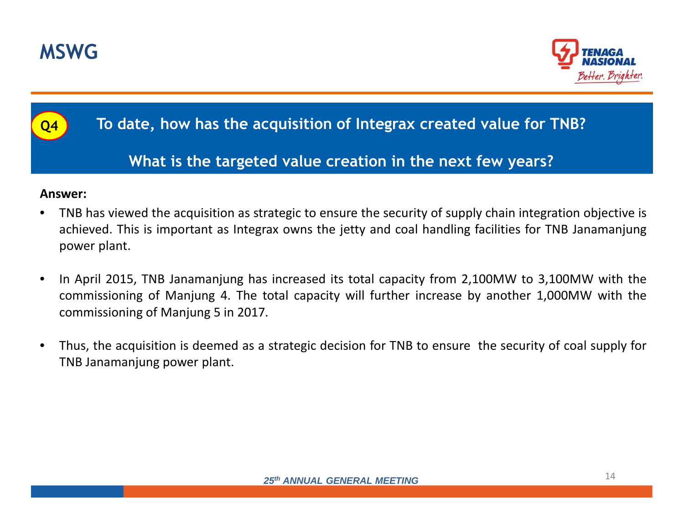



## **To date, how has the acquisition of Integrax created value for TNB?**

## **What is the targeted value creation in the next few years?**

#### **Answer:**

**Q4**

- • TNB has viewed the acquisition as strategic to ensure the security of supply chain integration objective is achieved. This is important as Integrax owns the jetty and coal handling facilities for TNB Janamanjung power plant.
- $\bullet$  In April 2015, TNB Janamanjung has increased its total capacity from 2,100MW to 3,100MW with the commissioning of Manjung 4. The total capacity will further increase by another 1,000MW with the commissioning of Manjung <sup>5</sup> in 2017.
- • Thus, the acquisition is deemed as <sup>a</sup> strategic decision for TNB to ensure the security of coal supply for TNB Janamanjung power plant.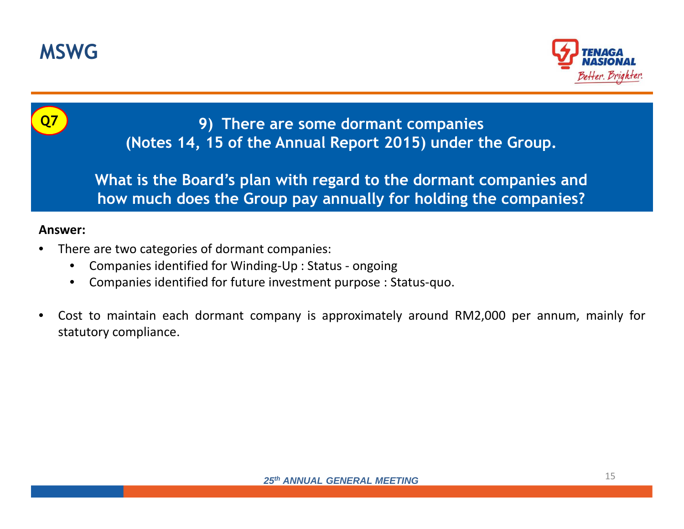



**9) There are some dormant companies (Notes 14, 15 of the Annual Report 2015) under the Group.** 

**What is the Board's plan with regard to the dormant companies and how much does the Group pay annually for holding the companies?**

- • There are two categories of dormant companies:
	- •Companies identified for Winding-Up : Status - ongoing
	- •Companies identified for future investment purpose : Status-quo.
- • Cost to maintain each dormant company is approximately around RM2,000 per annum, mainly for statutory compliance.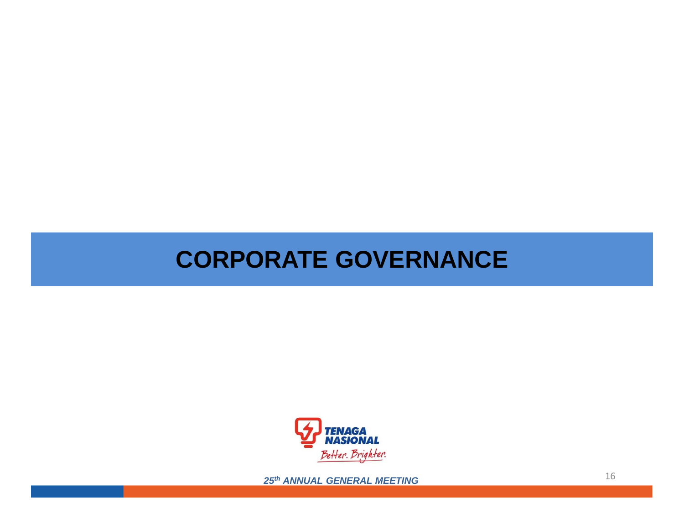# **CORPORATE GOVERNANCE**

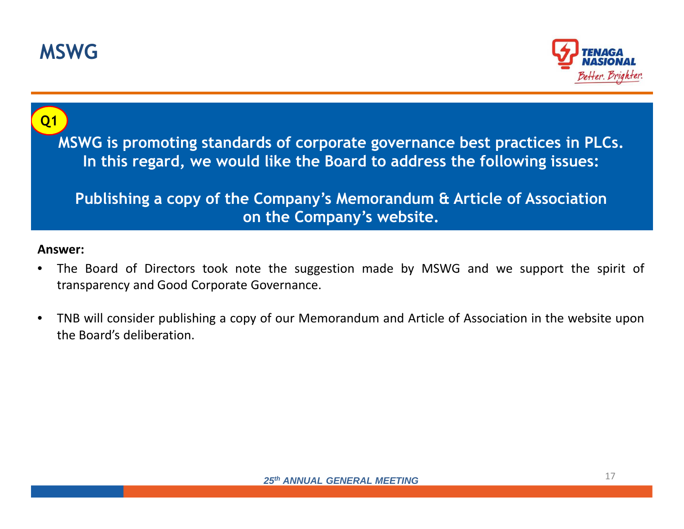



# **MSWG is promoting standards of corporate governance best practices in PLCs. In this regard, we would like the Board to address the following issues:**

## Answer:**Publishing a copy of the Company's Memorandum & Article of Associationon the Company's website.**

- • The Board of Directors took note the suggestion made by MSWG and we support the spirit of transparency and Good Corporate Governance.
- $\bullet$  TNB will consider publishing <sup>a</sup> copy of our Memorandum and Article of Association in the website uponthe Board's deliberation.